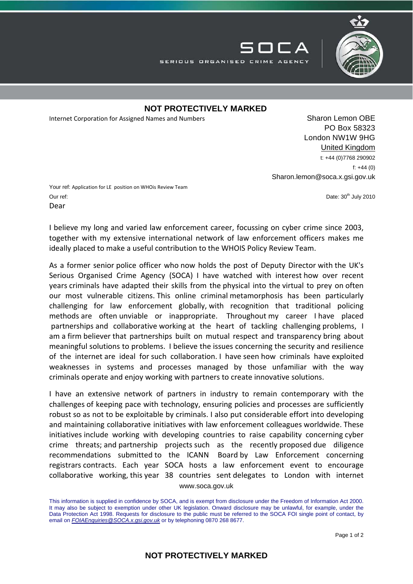

## **NOT PROTECTIVELY MARKED**

SERIOUS ORGANISED CRIME AGENCY

Internet Corporation for Assigned Names and Numbers Sharon Lemon OBE

PO Box 58323 London NW1W 9HG United Kingdom t: +44 (0)7768 290902 f: +44 (0) Sharon.lemon@soca.x.gsi.gov.uk

▔▏┃▔▔\_△

Your ref: Application for LE position on WHOis Review Team Our ref: **Date: 30th July 2010** 2010 Dear

I believe my long and varied law enforcement career, focussing on cyber crime since 2003, together with my extensive international network of law enforcement officers makes me ideally placed to make a useful contribution to the WHOIS Policy Review Team.

As a former senior police officer who now holds the post of Deputy Director with the UK's Serious Organised Crime Agency (SOCA) I have watched with interest how over recent years criminals have adapted their skills from the physical into the virtual to prey on often our most vulnerable citizens. This online criminal metamorphosis has been particularly challenging for law enforcement globally, with recognition that traditional policing methods are often unviable or inappropriate. Throughout my career I have placed partnerships and collaborative working at the heart of tackling challenging problems, I am a firm believer that partnerships built on mutual respect and transparency bring about meaningful solutions to problems. I believe the issues concerning the security and resilience of the internet are ideal for such collaboration. I have seen how criminals have exploited weaknesses in systems and processes managed by those unfamiliar with the way criminals operate and enjoy working with partners to create innovative solutions.

www.soca.gov.uk I have an extensive network of partners in industry to remain contemporary with the challenges of keeping pace with technology, ensuring policies and processes are sufficiently robust so as not to be exploitable by criminals. I also put considerable effort into developing and maintaining collaborative initiatives with law enforcement colleagues worldwide. These initiatives include working with developing countries to raise capability concerning cyber crime threats; and partnership projects such as the recently proposed due diligence recommendations submitted to the ICANN Board by Law Enforcement concerning registrars contracts. Each year SOCA hosts a law enforcement event to encourage collaborative working, this year 38 countries sent delegates to London with internet

## **NOT PROTECTIVELY MARKED**

This information is supplied in confidence by SOCA, and is exempt from disclosure under the Freedom of Information Act 2000. It may also be subject to exemption under other UK legislation. Onward disclosure may be unlawful, for example, under the Data Protection Act 1998. Requests for disclosure to the public must be referred to the SOCA FOI single point of contact, by email on *FOIAEnquiries@SOCA.x.gsi.gov.uk* or by telephoning 0870 268 8677.